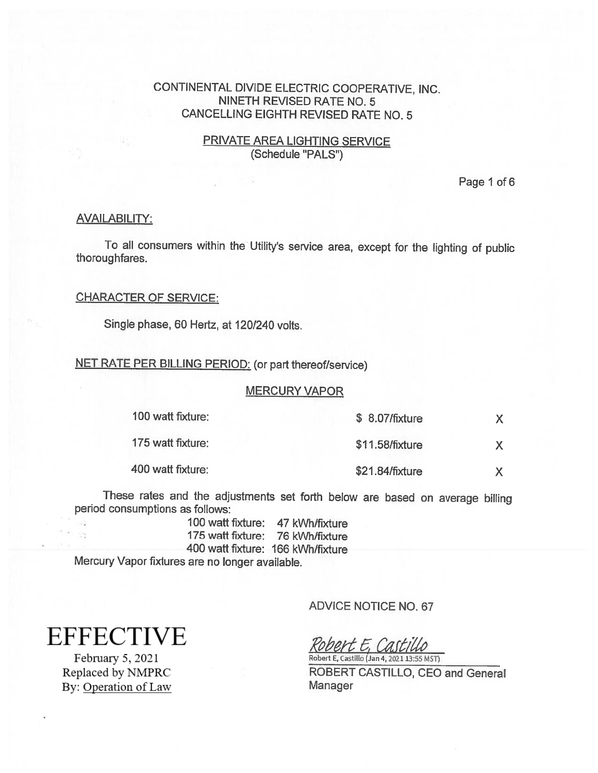## PRIVATE AREA LIGHTING SERVICE (Schedule "PALS")

Page 1 of 6

#### AVAILABILITY:

To all consumers within the Utility's service area, except for the lighting of public thoroughfares.

### CHARACTER OF SERVICE:

Single phase, 60 Hertz, at 120/240 volts.

#### NET RATE PER BILLING PERIOD: (or part thereof/service)

#### MERCURY VAPOR

| 100 watt fixture: | \$ 8.07/fixture |  |
|-------------------|-----------------|--|
| 175 watt fixture: | \$11.58/fixture |  |
| 400 watt fixture: | \$21.84/fixture |  |

These rates and the adjustments set forth below are based on average billing period consumptions as follows:

100 watt fixture: 47 kWh/fixture 175 watt fixture: 76 kWh/fixture 400 watt fixture: 166 kWh/fixture Mercury Vapor fixtures are no longer available.

**EFFECTIVE** 

98

February 5, 2021 Replaced by NMPRC By: Operation of Law ADVICE NOTICE NO.67

 $\frac{\text{Robert}}{\text{Robert E, Castillo}}$  (Jan 4, 2021 13:55 MST)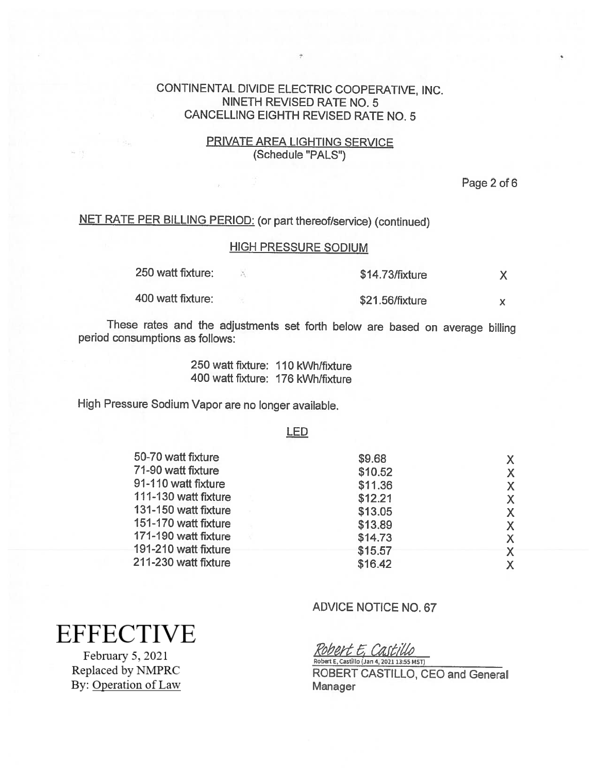## PRIVATE AREA LIGHTING SERVICE (Schedule "PALS")

Page 2 of 6

# NET RATE PER BILLING PERIOD: (or part thereof/service) (continued)

# HIGH PRESSURE SODIUM

| 250 watt fixture: | $$14.73$ /fixture |  |
|-------------------|-------------------|--|
| 400 watt fixture: | \$21.56/fixture   |  |

These rates and the adjustments set forth below are based on average billing period consumptions as follows:

> 250 waft fixture: 110 kWh/fixture 400 watt fixture: 176 kWh/fixture

High Pressure Sodium Vapor are no longer available.

#### LED

| 50-70 watt fixture   | \$9.68  | $\mathsf{X}$ |
|----------------------|---------|--------------|
| 71-90 watt fixture   | \$10.52 | X.           |
| 91-110 watt fixture  | \$11.36 | X.           |
| 111-130 watt fixture | \$12.21 | $\mathsf{X}$ |
| 131-150 watt fixture | \$13.05 | $\mathsf{X}$ |
| 151-170 watt fixture | \$13.89 | X.           |
| 171-190 watt fixture | \$14.73 | $\mathsf{X}$ |
| 191-210 watt fixture | \$15.57 |              |
| 211-230 watt fixture | \$16.42 | $\mathsf{X}$ |
|                      |         |              |

# ADVICE NOTICE NO.67

Robert E, Castillo Robert E, Castillo (Jan 4, 2021 13:55 MST)

ROBERT CASTILLO, CEO and General Manager

# **EFFECTIVE**

February 5, 2021 Replaced by NMPRC By: Operation of Law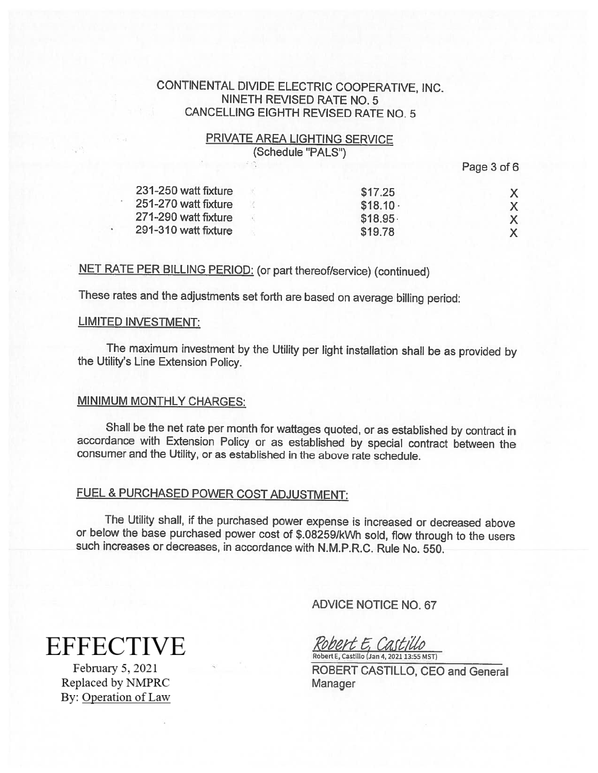## PRIVATE AREA LIGHTING SERVICE (Schedule "PALS")

Page 3 of 6

| 231-250 watt fixture | \$17.25    |  |
|----------------------|------------|--|
| 251-270 watt fixture | $$18.10 -$ |  |
| 271-290 watt fixture | \$18.95    |  |
| 291-310 watt fixture | \$19.78    |  |

# NET RATE PER BILLING PERIOD: (or part thereof/service) (continued)

These rates and the adjustments set forth are based on average billing period:

### LIMITED INVESTMENT:

The maximum investment by the Utility per light installation shall be as provided by the Utility's Line Extension Policy.

## MINIMUM MONTHLY CHARGES:

Shall be the net rate per month for wattages quoted, or as established by contract in accordance with Extension Policy or as established by special contract between the consumer and the Utility, or as established in the above rate schedule.

# FUEL & PURCHASED POWER COST ADJUSTMENT:

The Utility shall, if the purchased power expense is increased or decreased above or below the base purchased power cost of \$.082591kWh sold, flow through to the users such increases or decreases, in accordance with N.M.P.R.C. Rule No. 550.

ADVICE NOTICE NO.67

obert E, Castillo Robert E, Castillo (Jan 4, 2021 13:55 MST)

ROBERT CASTILLO, CEO and General Manager

**EFFECTIVE** 

February 5, 2021 Replaced by NMPRC By: Operation of Law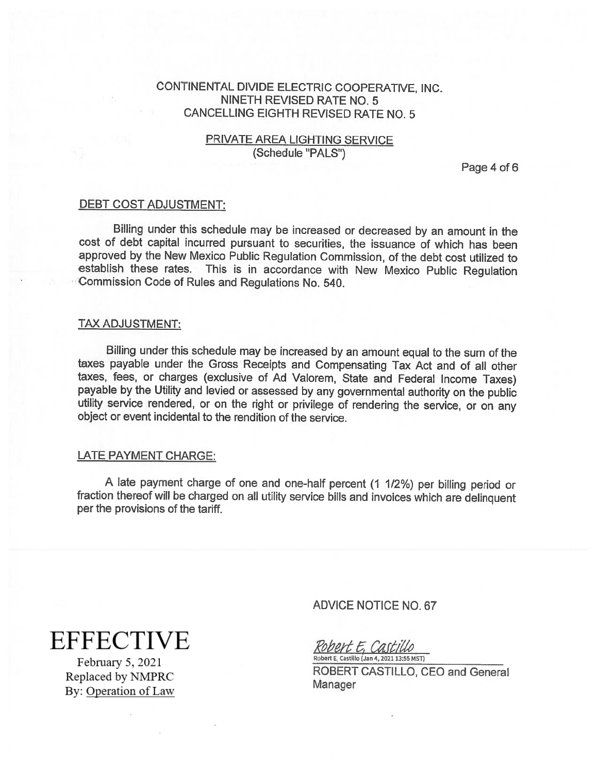## PRIVATE AREA LIGHTING SERVICE (Schedule "PALS")

Page 4 of 6

#### DEBT COST ADJUSTMENT:

Billing under this schedule may be increased or decreased by an amount in the cost of debt capital incurred pursuant to securities, the issuance of which has been approved by the New Mexico Public Regulation Commission, of the debt cost utilized to This is in accordance with New Mexico Public Regulation Commission Code of Rules and Regulations No. 540.

#### TAX ADJUSTMENT:

Billing under this schedule may be increased by an amount equa<sup>l</sup> to the sum of the taxes payable under the Gross Receipts and Compensating Tax Act and of all other taxes, fees, or charges (exclusive of Ad Valorem, State and Federal Income Taxes) payable by the Utility and levied or assessed by any governmental authority on the public utility service rendered, or on the right or privilege of rendering the service, or on any object or event incidental to the rendition of the service.

#### LATE PAYMENT CHARGE:

<sup>A</sup> late payment charge of one and one-half percent (1 1/2%) per billing period or fraction thereof will be charged on all utility service bills and invoices which are delinquent per the provisions of the tariff.

**EFFECTIVE** 

February 5, 2021 Replaced by NMPRC By: Operation of Law ADVICE NOTICE NO. 67

Robert E. Castillo Robert E, Castillo (Jan 4, 2021 13:55 MST)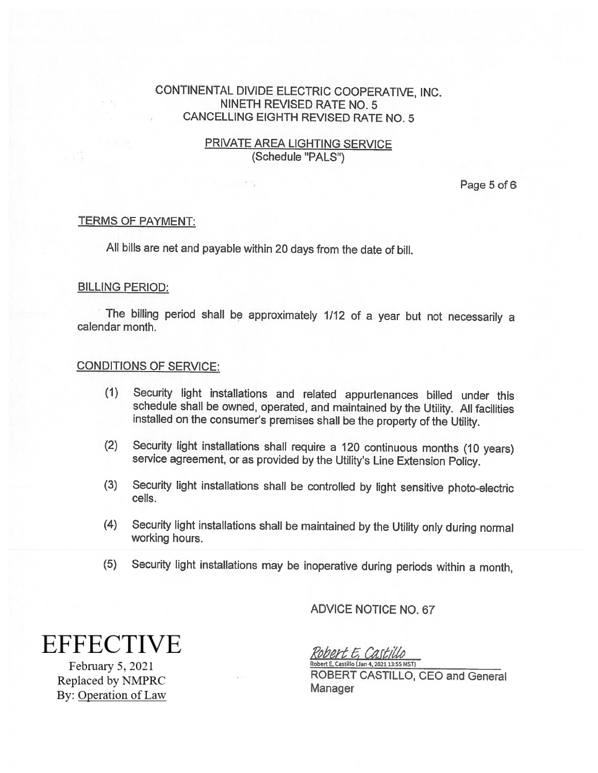## PRIVATE AREA LIGHTING SERVICE (Schedule "PALS")

Page 5 of 6

## TERMS OF PAYMENT:

All bills are net and payable within <sup>20</sup> days from the date of bill.

### BILLING PERIOD:

The billing period shall be approximately 1/12 of a year but not necessarily a calendar month.

### CONDITIONS OF SERVICE:

- (1) Security light installations and related appurtenances billed under this schedule shall be owned, operated, and maintained by the Utility. All facilities installed on the consumer's premises shall be the property of the Utility.
- (2) Security light installations shall require a 120 continuous months (10 years) service agreement, or as provided by the Utility's Line Extension Policy.
- (3) Security light installations shall be controlled by light sensitive <sup>p</sup>hoto-electric cells.
- (4) Security light installations shall be maintained by the Utility only during normal working hours.
- (5) Security light installations may be inoperative during periods within <sup>a</sup> month,

**EFFECTIVE** 

February 5, 2021 Replaced by NMPRC By: Operation of Law ADVICE NOTICE NO. 67

Robert E, Castillo Robert E, Castillo (Jan 4, 2021 13:55 MST)